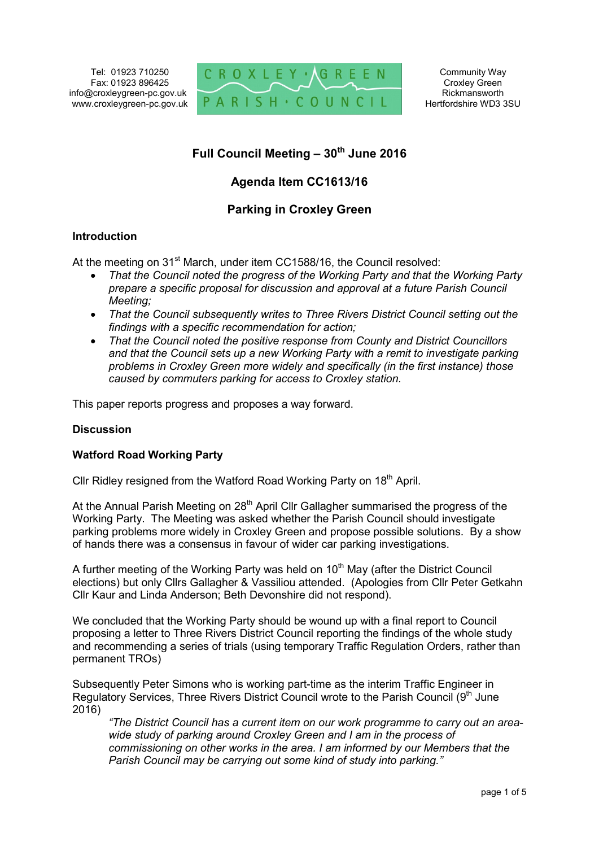Tel: 01923 710250 Fax: 01923 896425 info@croxleygreen-pc.gov.uk www.croxleygreen-pc.gov.uk



# **Full Council Meeting – 30th June 2016**

## **Agenda Item CC1613/16**

### **Parking in Croxley Green**

#### **Introduction**

At the meeting on 31<sup>st</sup> March, under item CC1588/16, the Council resolved:

- *That the Council noted the progress of the Working Party and that the Working Party prepare a specific proposal for discussion and approval at a future Parish Council Meeting;*
- *That the Council subsequently writes to Three Rivers District Council setting out the findings with a specific recommendation for action;*
- *That the Council noted the positive response from County and District Councillors and that the Council sets up a new Working Party with a remit to investigate parking problems in Croxley Green more widely and specifically (in the first instance) those caused by commuters parking for access to Croxley station.*

This paper reports progress and proposes a way forward.

#### **Discussion**

#### **Watford Road Working Party**

Cllr Ridley resigned from the Watford Road Working Party on 18<sup>th</sup> April.

At the Annual Parish Meeting on 28<sup>th</sup> April Cllr Gallagher summarised the progress of the Working Party. The Meeting was asked whether the Parish Council should investigate parking problems more widely in Croxley Green and propose possible solutions. By a show of hands there was a consensus in favour of wider car parking investigations.

A further meeting of the Working Party was held on 10<sup>th</sup> May (after the District Council elections) but only Cllrs Gallagher & Vassiliou attended. (Apologies from Cllr Peter Getkahn Cllr Kaur and Linda Anderson; Beth Devonshire did not respond).

We concluded that the Working Party should be wound up with a final report to Council proposing a letter to Three Rivers District Council reporting the findings of the whole study and recommending a series of trials (using temporary Traffic Regulation Orders, rather than permanent TROs)

Subsequently Peter Simons who is working part-time as the interim Traffic Engineer in Regulatory Services, Three Rivers District Council wrote to the Parish Council (9<sup>th</sup> June 2016)

*"The District Council has a current item on our work programme to carry out an areawide study of parking around Croxley Green and I am in the process of commissioning on other works in the area. I am informed by our Members that the Parish Council may be carrying out some kind of study into parking."*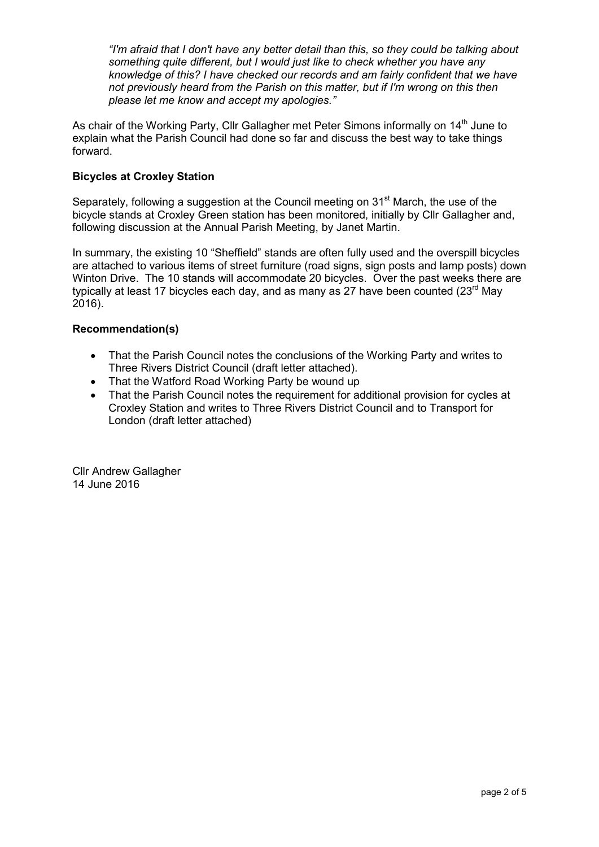*"I'm afraid that I don't have any better detail than this, so they could be talking about something quite different, but I would just like to check whether you have any knowledge of this? I have checked our records and am fairly confident that we have not previously heard from the Parish on this matter, but if I'm wrong on this then please let me know and accept my apologies."* 

As chair of the Working Party, Cllr Gallagher met Peter Simons informally on 14<sup>th</sup> June to explain what the Parish Council had done so far and discuss the best way to take things forward.

#### **Bicycles at Croxley Station**

Separately, following a suggestion at the Council meeting on  $31<sup>st</sup>$  March, the use of the bicycle stands at Croxley Green station has been monitored, initially by Cllr Gallagher and, following discussion at the Annual Parish Meeting, by Janet Martin.

In summary, the existing 10 "Sheffield" stands are often fully used and the overspill bicycles are attached to various items of street furniture (road signs, sign posts and lamp posts) down Winton Drive. The 10 stands will accommodate 20 bicycles. Over the past weeks there are typically at least 17 bicycles each day, and as many as 27 have been counted  $(23<sup>rd</sup>$  May 2016).

#### **Recommendation(s)**

- That the Parish Council notes the conclusions of the Working Party and writes to Three Rivers District Council (draft letter attached).
- That the Watford Road Working Party be wound up
- That the Parish Council notes the requirement for additional provision for cycles at Croxley Station and writes to Three Rivers District Council and to Transport for London (draft letter attached)

Cllr Andrew Gallagher 14 June 2016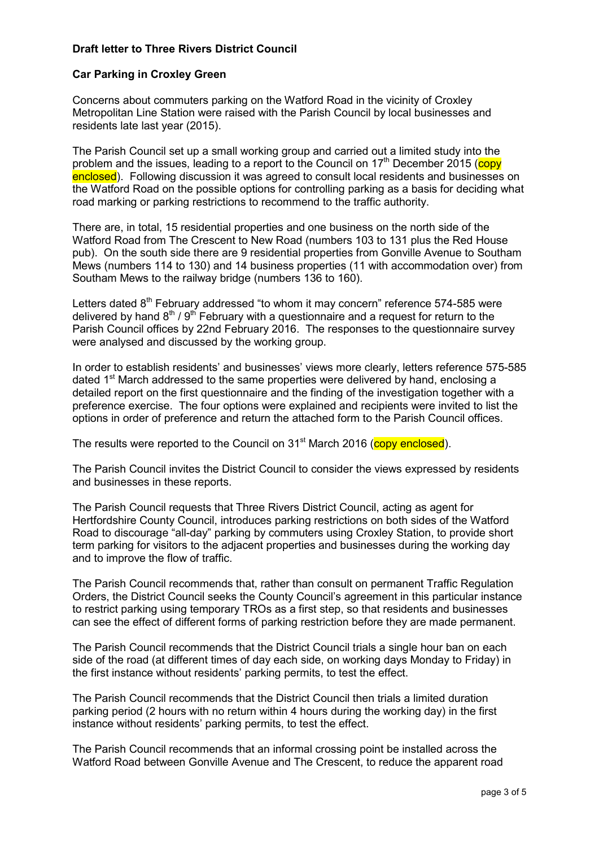#### **Draft letter to Three Rivers District Council**

#### **Car Parking in Croxley Green**

Concerns about commuters parking on the Watford Road in the vicinity of Croxley Metropolitan Line Station were raised with the Parish Council by local businesses and residents late last year (2015).

The Parish Council set up a small working group and carried out a limited study into the problem and the issues, leading to a report to the Council on  $17<sup>th</sup>$  December 2015 (copy enclosed). Following discussion it was agreed to consult local residents and businesses on the Watford Road on the possible options for controlling parking as a basis for deciding what road marking or parking restrictions to recommend to the traffic authority.

There are, in total, 15 residential properties and one business on the north side of the Watford Road from The Crescent to New Road (numbers 103 to 131 plus the Red House pub). On the south side there are 9 residential properties from Gonville Avenue to Southam Mews (numbers 114 to 130) and 14 business properties (11 with accommodation over) from Southam Mews to the railway bridge (numbers 136 to 160).

Letters dated  $8<sup>th</sup>$  February addressed "to whom it may concern" reference 574-585 were delivered by hand  $8<sup>th</sup>$  /  $9<sup>th</sup>$  February with a questionnaire and a request for return to the Parish Council offices by 22nd February 2016. The responses to the questionnaire survey were analysed and discussed by the working group.

In order to establish residents' and businesses' views more clearly, letters reference 575-585 dated 1<sup>st</sup> March addressed to the same properties were delivered by hand, enclosing a detailed report on the first questionnaire and the finding of the investigation together with a preference exercise. The four options were explained and recipients were invited to list the options in order of preference and return the attached form to the Parish Council offices.

The results were reported to the Council on 31<sup>st</sup> March 2016 (copy enclosed).

The Parish Council invites the District Council to consider the views expressed by residents and businesses in these reports.

The Parish Council requests that Three Rivers District Council, acting as agent for Hertfordshire County Council, introduces parking restrictions on both sides of the Watford Road to discourage "all-day" parking by commuters using Croxley Station, to provide short term parking for visitors to the adjacent properties and businesses during the working day and to improve the flow of traffic.

The Parish Council recommends that, rather than consult on permanent Traffic Regulation Orders, the District Council seeks the County Council's agreement in this particular instance to restrict parking using temporary TROs as a first step, so that residents and businesses can see the effect of different forms of parking restriction before they are made permanent.

The Parish Council recommends that the District Council trials a single hour ban on each side of the road (at different times of day each side, on working days Monday to Friday) in the first instance without residents' parking permits, to test the effect.

The Parish Council recommends that the District Council then trials a limited duration parking period (2 hours with no return within 4 hours during the working day) in the first instance without residents' parking permits, to test the effect.

The Parish Council recommends that an informal crossing point be installed across the Watford Road between Gonville Avenue and The Crescent, to reduce the apparent road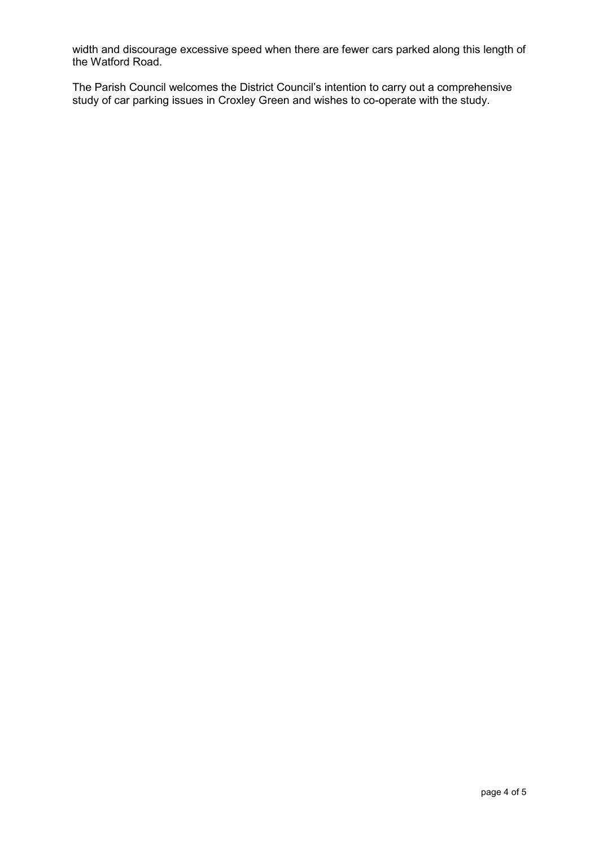width and discourage excessive speed when there are fewer cars parked along this length of the Watford Road.

The Parish Council welcomes the District Council's intention to carry out a comprehensive study of car parking issues in Croxley Green and wishes to co-operate with the study.